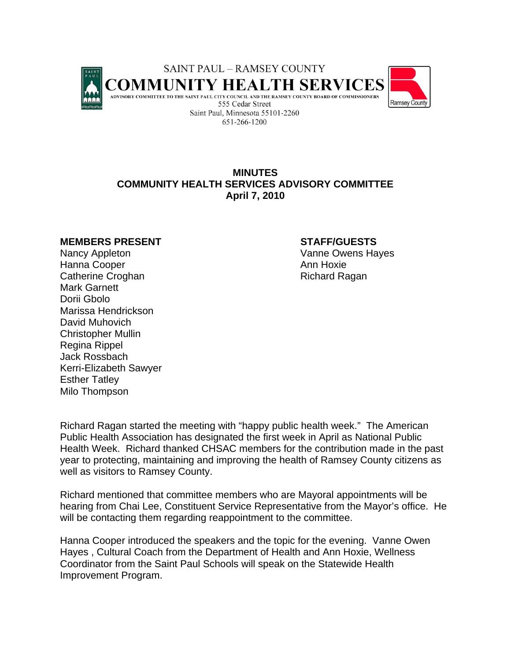

# **MINUTES COMMUNITY HEALTH SERVICES ADVISORY COMMITTEE April 7, 2010**

#### **MEMBERS PRESENT STAFF/GUESTS**

Nancy Appleton **Vanne Owens Hayes** Hanna Cooper **Annual Hanna Cooper** Annual Hoxie Catherine Croghan **Richard Ragan** Richard Ragan Mark Garnett Dorii Gbolo Marissa Hendrickson David Muhovich Christopher Mullin Regina Rippel Jack Rossbach Kerri-Elizabeth Sawyer Esther Tatley Milo Thompson

Richard Ragan started the meeting with "happy public health week." The American Public Health Association has designated the first week in April as National Public Health Week. Richard thanked CHSAC members for the contribution made in the past year to protecting, maintaining and improving the health of Ramsey County citizens as well as visitors to Ramsey County.

Richard mentioned that committee members who are Mayoral appointments will be hearing from Chai Lee, Constituent Service Representative from the Mayor's office. He will be contacting them regarding reappointment to the committee.

Hanna Cooper introduced the speakers and the topic for the evening. Vanne Owen Hayes , Cultural Coach from the Department of Health and Ann Hoxie, Wellness Coordinator from the Saint Paul Schools will speak on the Statewide Health Improvement Program.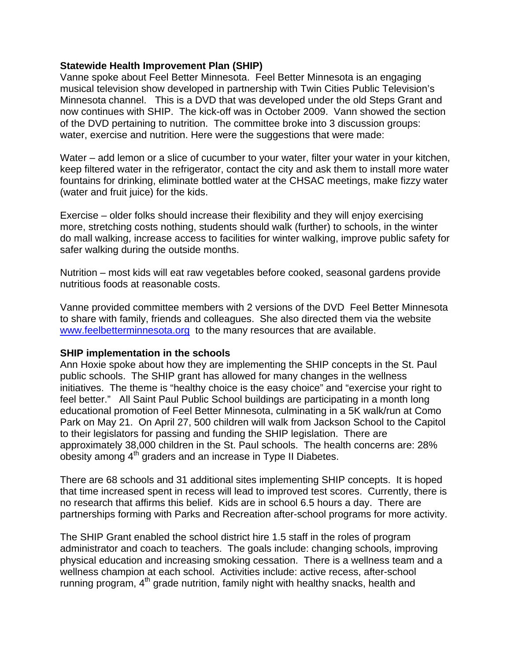### **Statewide Health Improvement Plan (SHIP)**

Vanne spoke about Feel Better Minnesota. Feel Better Minnesota is an engaging musical television show developed in partnership with Twin Cities Public Television's Minnesota channel. This is a DVD that was developed under the old Steps Grant and now continues with SHIP. The kick-off was in October 2009. Vann showed the section of the DVD pertaining to nutrition. The committee broke into 3 discussion groups: water, exercise and nutrition. Here were the suggestions that were made:

Water – add lemon or a slice of cucumber to your water, filter your water in your kitchen, keep filtered water in the refrigerator, contact the city and ask them to install more water fountains for drinking, eliminate bottled water at the CHSAC meetings, make fizzy water (water and fruit juice) for the kids.

Exercise – older folks should increase their flexibility and they will enjoy exercising more, stretching costs nothing, students should walk (further) to schools, in the winter do mall walking, increase access to facilities for winter walking, improve public safety for safer walking during the outside months.

Nutrition – most kids will eat raw vegetables before cooked, seasonal gardens provide nutritious foods at reasonable costs.

Vanne provided committee members with 2 versions of the DVD Feel Better Minnesota to share with family, friends and colleagues. She also directed them via the website www.feelbetterminnesota.org to the many resources that are available.

#### **SHIP implementation in the schools**

Ann Hoxie spoke about how they are implementing the SHIP concepts in the St. Paul public schools. The SHIP grant has allowed for many changes in the wellness initiatives. The theme is "healthy choice is the easy choice" and "exercise your right to feel better." All Saint Paul Public School buildings are participating in a month long educational promotion of Feel Better Minnesota, culminating in a 5K walk/run at Como Park on May 21. On April 27, 500 children will walk from Jackson School to the Capitol to their legislators for passing and funding the SHIP legislation. There are approximately 38,000 children in the St. Paul schools. The health concerns are: 28% obesity among  $4<sup>th</sup>$  graders and an increase in Type II Diabetes.

There are 68 schools and 31 additional sites implementing SHIP concepts. It is hoped that time increased spent in recess will lead to improved test scores. Currently, there is no research that affirms this belief. Kids are in school 6.5 hours a day. There are partnerships forming with Parks and Recreation after-school programs for more activity.

The SHIP Grant enabled the school district hire 1.5 staff in the roles of program administrator and coach to teachers. The goals include: changing schools, improving physical education and increasing smoking cessation. There is a wellness team and a wellness champion at each school. Activities include: active recess, after-school running program, 4<sup>th</sup> grade nutrition, family night with healthy snacks, health and